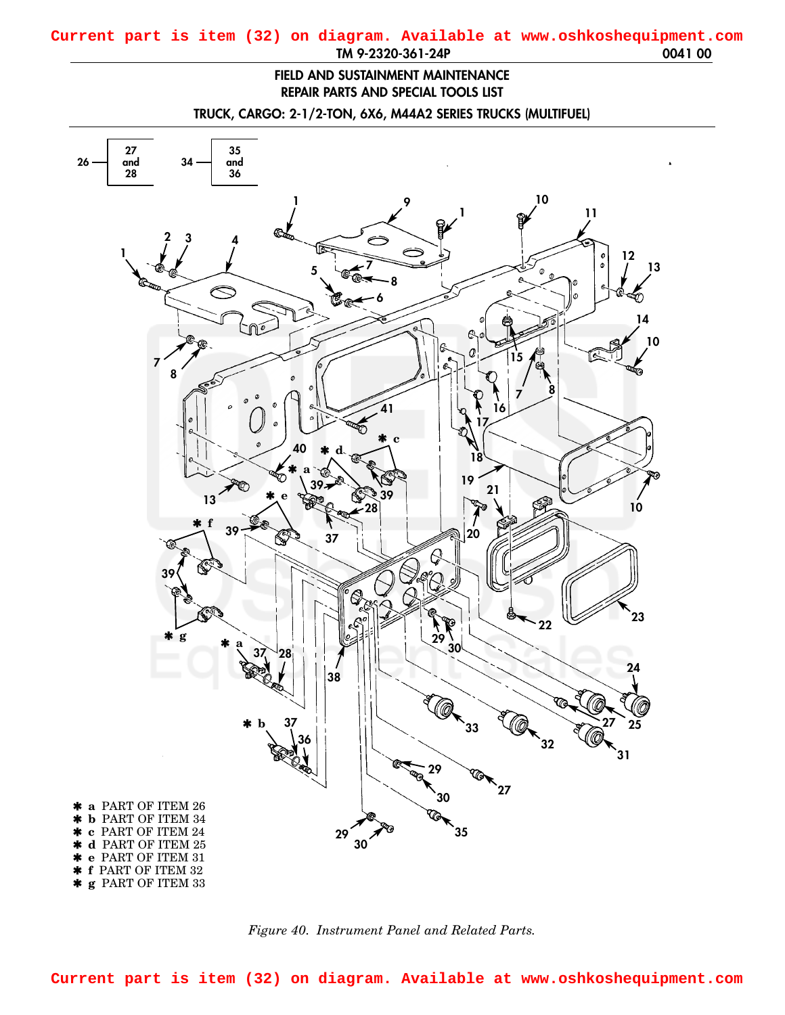## **FIELD AND SUSTAINMENT MAINTENANCE REPAIR PARTS AND SPECIAL TOOLS LIST**

**TRUCK, CARGO: 2-1/2-TON, 6X6, M44A2 SERIES TRUCKS (MULTIFUEL)**

<span id="page-0-0"></span>



**Current part is item (32) on diagram. Available at www.oshkoshequipment.com**